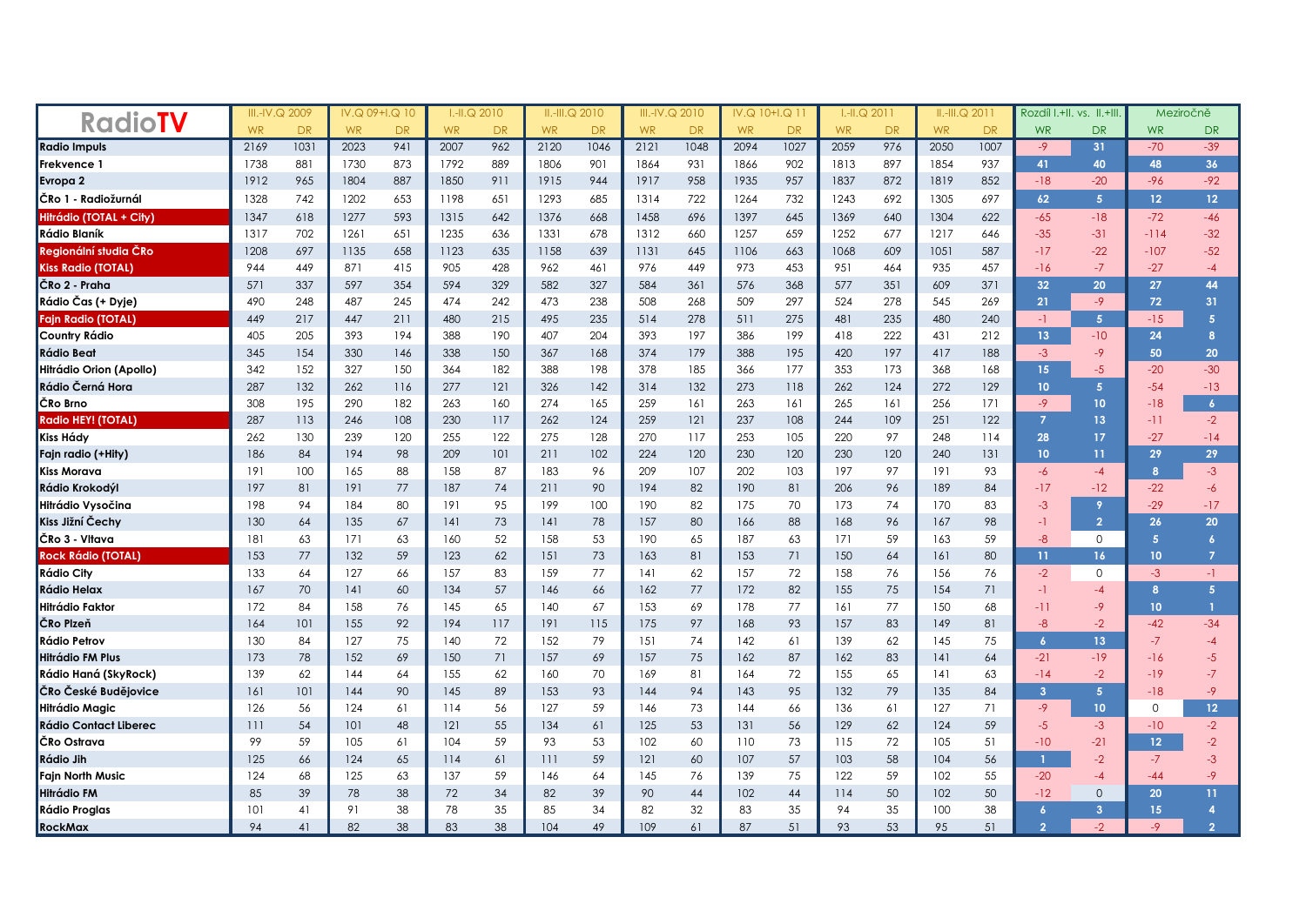| <b>RadioTV</b>            | III.-IV.Q 2009 |           | IV.Q 09+I.Q 10 |           | $I.H.Q$ 2010 |           | $II.-III.Q$ 2010 |      | III.-IV.Q 2010 |                | 10+1.Q 11<br>IV.Q |      | $I.H.Q$ 2011 |           | $II.-III.Q$ 2011 |                | Rozdíl I.+II. vs. II.+III |                  | Meziročně |                  |
|---------------------------|----------------|-----------|----------------|-----------|--------------|-----------|------------------|------|----------------|----------------|-------------------|------|--------------|-----------|------------------|----------------|---------------------------|------------------|-----------|------------------|
|                           | <b>WR</b>      | <b>DR</b> | <b>WR</b>      | <b>DR</b> | <b>WR</b>    | <b>DR</b> | <b>WR</b>        | DR.  | <b>WR</b>      | D <sub>R</sub> | <b>WR</b>         | DR.  | <b>WR</b>    | <b>DR</b> | <b>WR</b>        | D <sub>R</sub> | <b>WR</b>                 | <b>DR</b>        | <b>WR</b> | DR               |
| <b>Radio Impuls</b>       | 2169           | 1031      | 2023           | 941       | 2007         | 962       | 2120             | 1046 | 2121           | 1048           | 2094              | 1027 | 2059         | 976       | 2050             | 1007           | $-9$                      | 31               | $-70$     | $-39$            |
| Frekvence 1               | 1738           | 881       | 1730           | 873       | 1792         | 889       | 1806             | 901  | 1864           | 931            | 1866              | 902  | 1813         | 897       | 1854             | 937            | 41                        | 40               | 48        | 36               |
| Evropa 2                  | 1912           | 965       | 1804           | 887       | 1850         | 911       | 1915             | 944  | 1917           | 958            | 1935              | 957  | 1837         | 872       | 1819             | 852            | $-18$                     | $-20$            | $-96$     | $-92$            |
| ČRo 1 - Radiožurnál       | 1328           | 742       | 1202           | 653       | 1198         | 651       | 1293             | 685  | 1314           | 722            | 1264              | 732  | 1243         | 692       | 1305             | 697            | 62                        | 5 <sup>1</sup>   | 12        | 12 <sup>°</sup>  |
| Hitrádio (TOTAL + City)   | 1347           | 618       | 1277           | 593       | 1315         | 642       | 1376             | 668  | 1458           | 696            | 1397              | 645  | 1369         | 640       | 1304             | 622            | $-65$                     | $-18$            | $-72$     | $-46$            |
| Rádio Blaník              | 1317           | 702       | 1261           | 651       | 1235         | 636       | 1331             | 678  | 1312           | 660            | 1257              | 659  | 1252         | 677       | 1217             | 646            | $-35$                     | $-31$            | $-114$    | $-32$            |
| Regionální studia ČRo     | 1208           | 697       | 1135           | 658       | 1123         | 635       | 1158             | 639  | 1131           | 645            | 1106              | 663  | 1068         | 609       | 1051             | 587            | $-17$                     | $-22$            | $-107$    | $-52$            |
| <b>Kiss Radio (TOTAL)</b> | 944            | 449       | 871            | 415       | 905          | 428       | 962              | 461  | 976            | 449            | 973               | 453  | 951          | 464       | 935              | 457            | $-16$                     | $-7$             | $-27$     | $-4$             |
| ČRo 2 - Praha             | 571            | 337       | 597            | 354       | 594          | 329       | 582              | 327  | 584            | 361            | 576               | 368  | 577          | 351       | 609              | 371            | 32                        | 20               | 27        | 44               |
| Rádio Čas (+ Dyje)        | 490            | 248       | 487            | 245       | 474          | 242       | 473              | 238  | 508            | 268            | 509               | 297  | 524          | 278       | 545              | 269            | 21                        | $-9$             | 72        | 31               |
| Fajn Radio (TOTAL)        | 449            | 217       | 447            | 211       | 480          | 215       | 495              | 235  | 514            | 278            | 511               | 275  | 481          | 235       | 480              | 240            | $-1$                      | 5 <sup>1</sup>   | $-15$     | 5                |
| Country Rádio             | 405            | 205       | 393            | 194       | 388          | 190       | 407              | 204  | 393            | 197            | 386               | 199  | 418          | 222       | 431              | 212            | 13                        | $-10$            | 24        | 8                |
| Rádio Beat                | 345            | 154       | 330            | 146       | 338          | 150       | 367              | 168  | 374            | 179            | 388               | 195  | 420          | 197       | 417              | 188            | $-3$                      | -9               | 50        | 20               |
| Hitrádio Orion (Apollo)   | 342            | 152       | 327            | 150       | 364          | 182       | 388              | 198  | 378            | 185            | 366               | 177  | 353          | 173       | 368              | 168            | 15                        | $-5$             | $-20$     | $-30$            |
| Rádio Černá Hora          | 287            | 132       | 262            | 116       | 277          | 121       | 326              | 142  | 314            | 132            | 273               | 118  | 262          | 124       | 272              | 129            | 10 <sub>10</sub>          | 5 <sup>1</sup>   | $-54$     | $-13$            |
| ČRo Brno                  | 308            | 195       | 290            | 182       | 263          | 160       | 274              | 165  | 259            | 161            | 263               | 161  | 265          | 161       | 256              | 171            | $-9$                      | 10 <sub>10</sub> | $-18$     | $\overline{6}$   |
| <b>Radio HEY! (TOTAL)</b> | 287            | 113       | 246            | 108       | 230          | 117       | 262              | 124  | 259            | 121            | 237               | 108  | 244          | 109       | 251              | 122            | $\overline{7}$            | 13               | $-11$     | $-2$             |
| Kiss Hády                 | 262            | 130       | 239            | 120       | 255          | 122       | 275              | 128  | 270            | 117            | 253               | 105  | 220          | 97        | 248              | 114            | 28                        | 17               | $-27$     | $-14$            |
| ain radio (+Hity)         | 186            | 84        | 194            | 98        | 209          | 101       | 211              | 102  | 224            | 120            | 230               | 120  | 230          | 120       | 240              | 131            | 10                        | 11               | 29        | 29               |
| Kiss Morava               | 191            | 100       | 165            | 88        | 158          | 87        | 183              | 96   | 209            | 107            | 202               | 103  | 197          | 97        | 191              | 93             | $-6$                      | $-4$             | 8         | $-3$             |
| Rádio Krokodýl            | 197            | 81        | 191            | 77        | 187          | 74        | 211              | 90   | 194            | 82             | 190               | 81   | 206          | 96        | 189              | 84             | $-17$                     | $-12$            | $-22$     | -6               |
| Hitrádio Vysočina         | 198            | 94        | 184            | 80        | 191          | 95        | 199              | 100  | 190            | 82             | 175               | 70   | 173          | 74        | 170              | 83             | $-3$                      | 9                | $-29$     | $-17$            |
| Kiss Jižní Čechy          | 130            | 64        | 135            | 67        | 4            | 73        | 141              | 78   | 157            | 80             | 166               | 88   | 168          | 96        | 167              | 98             | -1                        | $\overline{2}$   | 26        | 20               |
| ČRo 3 - Vltava            | 181            | 63        | 171            | 63        | 160          | 52        | 158              | 53   | 190            | 65             | 187               | 63   | 171          | 59        | 163              | 59             | $-8$                      | $\mathbf 0$      | 5         | $\boldsymbol{6}$ |
| <b>Rock Rádio (TOTAL)</b> | 153            | 77        | 132            | 59        | 123          | 62        | 151              | 73   | 163            | 81             | 153               | 71   | 150          | 64        | 161              | 80             | 11                        | 16               | 10        | $\overline{7}$   |
| Rádio City                | 133            | 64        | 127            | 66        | 157          | 83        | 159              | 77   | 141            | 62             | 157               | 72   | 158          | 76        | 156              | 76             | $-2$                      | 0                | $-3$      | $-1$             |
| ₹ádio Helax               | 167            | 70        | 4              | 60        | 134          | 57        | 146              | 66   | 162            | 77             | 172               | 82   | 155          | 75        | 154              | 71             | $-1$                      | $-4$             | 8         | 5 <sup>1</sup>   |
| Hitrádio Faktor           | 172            | 84        | 158            | 76        | 145          | 65        | 140              | 67   | 153            | 69             | 178               | 77   | 161          | 77        | 150              | 68             | $-11$                     | -9               | 10        | $\mathbf{1}$     |
| ČRo Plzeň                 | 164            | 101       | 155            | 92        | 194          | 117       | 191              | 115  | 175            | 97             | 168               | 93   | 157          | 83        | 149              | 81             | $-8$                      | $-2$             | $-42$     | $-34$            |
| ₹ádio Petrov              | 130            | 84        | 127            | 75        | 140          | 72        | 152              | 79   | 151            | 74             | 142               | 61   | 139          | 62        | 145              | 75             | $\boldsymbol{6}$          | 13 <sup>°</sup>  | $-7$      | $-4$             |
| litrádio FM Plus          | 173            | 78        | 152            | 69        | 150          | 71        | 157              | 69   | 157            | 75             | 162               | 87   | 162          | 83        | 141              | 64             | $-21$                     | $-19$            | $-16$     | $-5$             |
| Rádio Haná (SkyRock)      | 139            | 62        | 144            | 64        | 155          | 62        | 160              | 70   | 169            | 81             | 164               | 72   | 155          | 65        | 141              | 63             | $-14$                     | $-2$             | $-19$     | $-7$             |
| ČRo České Budějovice      | 161            | 101       | 144            | 90        | 145          | 89        | 153              | 93   | 144            | 94             | 143               | 95   | 132          | 79        | 135              | 84             | 3                         | 5 <sup>1</sup>   | $-18$     | $-9$             |
| Hitrádio Magic            | 126            | 56        | 124            | 61        | 114          | 56        | 127              | 59   | 146            | 73             | 144               | 66   | 136          | 61        | 127              | 71             | $-9$                      | 10 <sub>10</sub> | $\Omega$  | 12 <sub>1</sub>  |
| Rádio Contact Liberec     | 111            | 54        | 101            | 48        | 121          | 55        | 134              | 61   | 125            | 53             | 131               | 56   | 129          | 62        | 124              | 59             | $-5$                      | $-3$             | $-10$     | $-2$             |
| ČRo Ostrava               | 99             | 59        | 105            | 61        | 104          | 59        | 93               | 53   | 102            | 60             | 110               | 73   | 115          | 72        | 105              | 51             | $-10$                     | $-21$            | 12        | $-2$             |
| Rádio Jih                 | 125            | 66        | 124            | 65        | 114          | 61        | 111              | 59   | 121            | 60             | 107               | 57   | 103          | 58        | 104              | 56             | $\mathbf{1}$              | $-2$             | $-7$      | $-3$             |
| ain North Music           | 124            | 68        | 125            | 63        | 137          | 59        | 146              | 64   | 145            | 76             | 139               | 75   | 122          | 59        | 102              | 55             | $-20$                     | -4               | $-44$     | $-9$             |
| Hitrádio FM               | 85             | 39        | 78             | 38        | 72           | 34        | 82               | 39   | 90             | 44             | 102               | 44   | 114          | 50        | 102              | 50             | $-12$                     | $\mathbf{0}$     | 20        | 11               |
| Rádio Proglas             | 101            | 41        | 91             | 38        | 78           | 35        | 85               | 34   | 82             | 32             | 83                | 35   | 94           | 35        | 100              | 38             | 6                         | 3                | 15        | 4                |
| RockMax                   | 94             | 41        | 82             | 38        | 83           | 38        | 104              | 49   | 109            | 61             | 87                | 51   | 93           | 53        | 95               | 51             | $\overline{2}$            | $-2$             | -9        | $\overline{2}$   |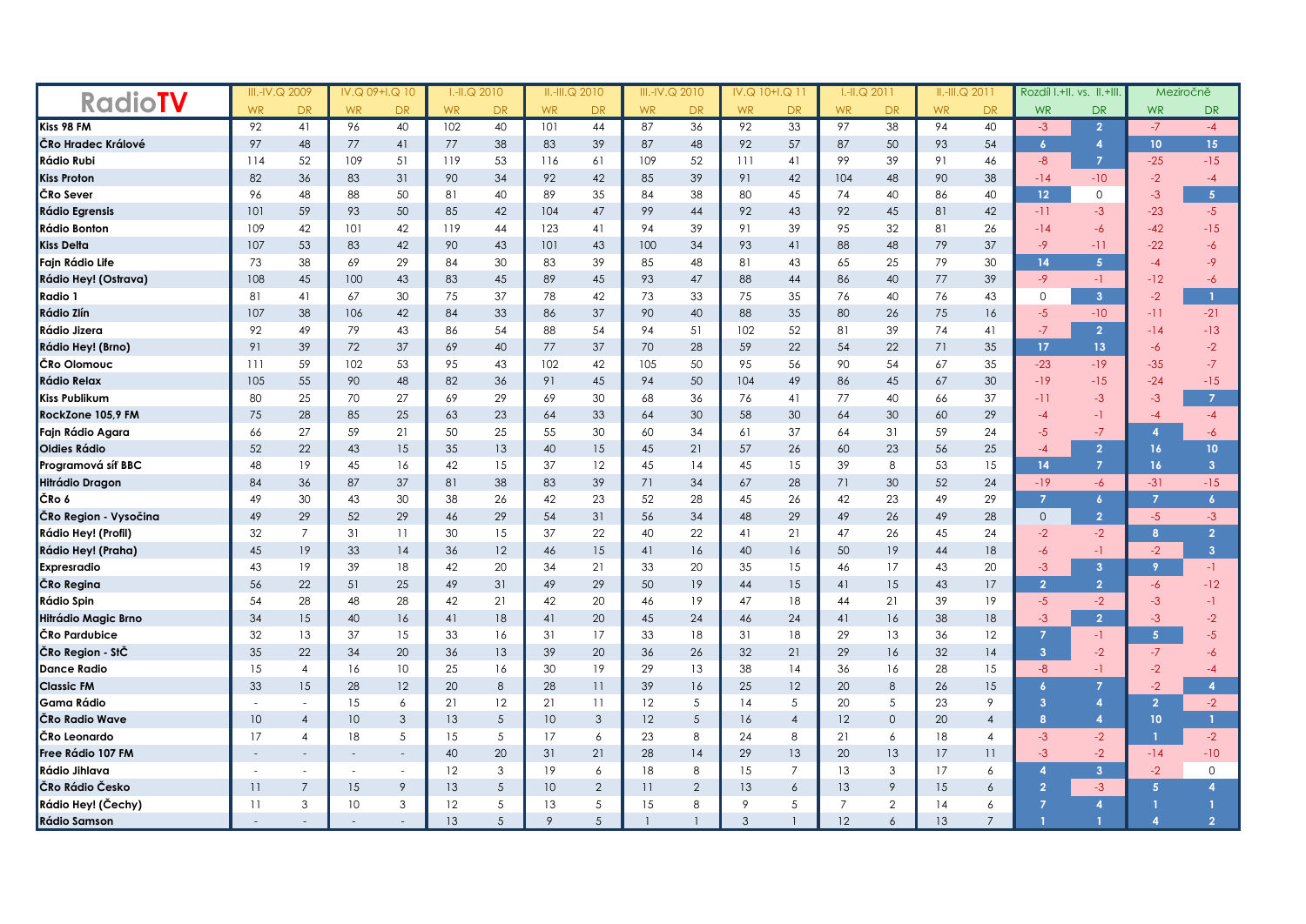|                       | III.-IV.Q 2009 |                          | IV.Q 09+I.Q 10 |                          | $I.H.Q$ 2010 |           | $II.-III.Q$ 2010 |                 | III.-IV.Q 2010 |                | IV.Q 10+I.Q 11 |                | $I.H.Q$ 2011   |              | $II.-III.Q$ 2011 |                | Rozdíl I.+II. vs. II.+III |                |                | Meziročně        |
|-----------------------|----------------|--------------------------|----------------|--------------------------|--------------|-----------|------------------|-----------------|----------------|----------------|----------------|----------------|----------------|--------------|------------------|----------------|---------------------------|----------------|----------------|------------------|
| <b>RadioTV</b>        | <b>WR</b>      | <b>DR</b>                | <b>WR</b>      | <b>DR</b>                | <b>WR</b>    | <b>DR</b> | <b>WR</b>        | <b>DR</b>       | <b>WR</b>      | <b>DR</b>      | <b>WR</b>      | DR.            | <b>WR</b>      | <b>DR</b>    | <b>WR</b>        | <b>DR</b>      | <b>WR</b>                 | <b>DR</b>      | <b>WR</b>      | <b>DR</b>        |
| Kiss 98 FM            | 92             | 41                       | 96             | 40                       | 102          | 40        | 101              | 44              | 87             | 36             | 92             | 33             | 97             | 38           | 94               | 40             | $-3$                      | $\overline{2}$ | $-7$           | $-4$             |
| ČRo Hradec Králové    | 97             | 48                       | 77             | 41                       | 77           | 38        | 83               | 39              | 87             | 48             | 92             | 57             | 87             | 50           | 93               | 54             | $\overline{6}$            | $\overline{4}$ | 10             | 15 <sup>°</sup>  |
| Rádio Rubi            | 114            | 52                       | 109            | 51                       | 119          | 53        | 116              | 61              | 109            | 52             | 111            | 41             | 99             | 39           | 91               | 46             | $-8$                      | $\overline{7}$ | $-25$          | $-15$            |
| <b>Kiss Proton</b>    | 82             | 36                       | 83             | 31                       | 90           | 34        | 92               | 42              | 85             | 39             | 91             | 42             | 104            | 48           | 90               | 38             | $-14$                     | $-10$          | $-2$           | $-4$             |
| ČRo Sever             | 96             | 48                       | 88             | 50                       | 81           | 40        | 89               | 35              | 84             | 38             | 80             | 45             | 74             | 40           | 86               | 40             | 12 <sup>2</sup>           | $\circ$        | $-3$           | 5 <sup>1</sup>   |
| <b>Rádio Egrensis</b> | 101            | 59                       | 93             | 50                       | 85           | 42        | 104              | 47              | 99             | 44             | 92             | 43             | 92             | 45           | 81               | 42             | $-11$                     | $-3$           | $-23$          | $-5$             |
| Rádio Bonton          | 109            | 42                       | 101            | 42                       | 119          | 44        | 123              | 41              | 94             | 39             | 91             | 39             | 95             | 32           | 81               | 26             | $-14$                     | -6             | $-42$          | $-15$            |
| Kiss Delta            | 107            | 53                       | 83             | 42                       | 90           | 43        | 101              | 43              | 100            | 34             | 93             | 41             | 88             | 48           | 79               | 37             | $-9$                      | $-11$          | $-22$          | $-6$             |
| Fajn Rádio Life       | 73             | 38                       | 69             | 29                       | 84           | 30        | 83               | 39              | 85             | 48             | 81             | 43             | 65             | 25           | 79               | 30             | 14                        | 5 <sup>1</sup> | $-4$           | $-9$             |
| Rádio Hey! (Ostrava)  | 108            | 45                       | 100            | 43                       | 83           | 45        | 89               | 45              | 93             | 47             | 88             | 44             | 86             | 40           | 77               | 39             | $-9$                      | $-1$           | $-12$          | $-6$             |
| Radio 1               | 81             | 41                       | 67             | 30                       | 75           | 37        | 78               | 42              | 73             | 33             | 75             | 35             | 76             | 40           | 76               | 43             | 0                         | 3 <sup>2</sup> | $-2$           | $\mathbf{1}$     |
| Rádio Zlín            | 107            | 38                       | 106            | 42                       | 84           | 33        | 86               | 37              | 90             | 40             | 88             | 35             | 80             | 26           | 75               | 16             | $-5$                      | $-10$          | $-11$          | $-21$            |
| Rádio Jizera          | 92             | 49                       | 79             | 43                       | 86           | 54        | 88               | 54              | 94             | 51             | 102            | 52             | 81             | 39           | 74               | 41             | $-7$                      | $\overline{2}$ | $-14$          | $-13$            |
| Rádio Hey! (Brno)     | 91             | 39                       | 72             | 37                       | 69           | 40        | 77               | 37              | 70             | 28             | 59             | 22             | 54             | 22           | 71               | 35             | 17                        | 13             | -6             | $-2$             |
| ČRo Olomouc           | 111            | 59                       | 102            | 53                       | 95           | 43        | 102              | 42              | 105            | 50             | 95             | 56             | 90             | 54           | 67               | 35             | $-23$                     | $-19$          | $-35$          | $-7$             |
| Rádio Relax           | 105            | 55                       | 90             | 48                       | 82           | 36        | 91               | 45              | 94             | 50             | 104            | 49             | 86             | 45           | 67               | 30             | $-19$                     | $-15$          | $-24$          | $-15$            |
| Kiss Publikum         | 80             | 25                       | 70             | 27                       | 69           | 29        | 69               | 30              | 68             | 36             | 76             | 41             | 77             | 40           | 66               | 37             | $-11$                     | $-3$           | $-3$           | $\overline{7}$   |
| RockZone 105,9 FM     | 75             | 28                       | 85             | 25                       | 63           | 23        | 64               | 33              | 64             | 30             | 58             | 30             | 64             | 30           | 60               | 29             | -4                        | -1             | -4             | $-4$             |
| Fajn Rádio Agara      | 66             | 27                       | 59             | 21                       | 50           | 25        | 55               | 30              | 60             | 34             | 61             | 37             | 64             | 31           | 59               | 24             | $-5$                      | $-7$           | 4              | $-6$             |
| Oldies Rádio          | 52             | 22                       | 43             | 15                       | 35           | 13        | 40               | 15              | 45             | 21             | 57             | 26             | 60             | 23           | 56               | 25             | -4                        | $\overline{2}$ | 16             | 10 <sub>10</sub> |
| Programová síť BBC    | 48             | 19                       | 45             | 16                       | 42           | 15        | 37               | 12              | 45             | 14             | 45             | 15             | 39             | 8            | 53               | 15             | 14                        | $\overline{7}$ | 16             | 3 <sup>1</sup>   |
| Hitrádio Dragon       | 84             | 36                       | 87             | 37                       | 81           | 38        | 83               | 39              | 71             | 34             | 67             | 28             | 71             | 30           | 52               | 24             | $-19$                     | -6             | $-31$          | $-15$            |
| ČRo 6                 | 49             | 30                       | 43             | 30                       | 38           | 26        | 42               | 23              | 52             | 28             | 45             | 26             | 42             | 23           | 49               | 29             | $\overline{7}$            | $\epsilon$     | $\overline{7}$ | $\overline{6}$   |
| ČRo Region - Vysočina | 49             | 29                       | 52             | 29                       | 46           | 29        | 54               | 31              | 56             | 34             | 48             | 29             | 49             | 26           | 49               | 28             | $\circ$                   | $\overline{2}$ | $-5$           | $-3$             |
| Rádio Hey! (Profil)   | 32             | $\overline{7}$           | 31             | 11                       | 30           | 15        | 37               | 22              | 40             | 22             | 41             | 21             | 47             | 26           | 45               | 24             | $-2$                      | $-2$           | 8              | $\overline{2}$   |
| Rádio Hey! (Praha)    | 45             | 19                       | 33             | 14                       | 36           | 12        | 46               | 15              | 41             | 16             | 40             | 16             | 50             | 19           | 44               | 18             | -6                        | $-1$           | $-2$           | 3 <sup>1</sup>   |
| Expresradio           | 43             | 19                       | 39             | 18                       | 42           | 20        | 34               | 21              | 33             | 20             | 35             | 15             | 46             | 17           | 43               | 20             | $-3$                      | 3 <sup>2</sup> | 9              | $-1$             |
| ČRo Regina            | 56             | 22                       | 51             | 25                       | 49           | 31        | 49               | 29              | 50             | 19             | 44             | 15             | 41             | 15           | 43               | 17             | $\overline{2}$            | $\overline{2}$ | -6             | $-12$            |
| Rádio Spin            | 54             | 28                       | 48             | 28                       | 42           | 21        | 42               | 20              | 46             | 19             | 47             | 18             | 44             | 21           | 39               | 19             | $-5$                      | $-2$           | $-3$           | -1               |
| Hitrádio Magic Brno   | 34             | 15                       | 40             | 16                       | 41           | 18        | 41               | 20              | 45             | 24             | 46             | 24             | 41             | 16           | 38               | 18             | $-3$                      | $\overline{2}$ | $-3$           | $-2$             |
| ČRo Pardubice         | 32             | 13                       | 37             | 15                       | 33           | 16        | 31               | 17              | 33             | 18             | 31             | 18             | 29             | 13           | 36               | 12             | $\overline{7}$            | -1             | 5              | $-5$             |
| ČRo Region - StČ      | 35             | 22                       | 34             | 20                       | 36           | 13        | 39               | 20              | 36             | 26             | 32             | 21             | 29             | 16           | 32               | 14             | $\overline{3}$            | $-2$           | $-7$           | -6               |
| <b>Dance Radio</b>    | 15             | $\overline{4}$           | 16             | 10                       | 25           | 16        | 30               | 19              | 29             | 13             | 38             | 14             | 36             | 16           | 28               | 15             | $-8$                      | $-1$           | $-2$           | $-4$             |
| <b>Classic FM</b>     | 33             | 15                       | 28             | 12                       | 20           | 8         | 28               | 11              | 39             | 16             | 25             | 12             | 20             | 8            | 26               | 15             | 6                         | $\overline{7}$ | $-2$           | 4                |
| Gama Rádio            |                | $\sim$                   | 15             | 6                        | 21           | 12        | 21               | $\overline{11}$ | 12             | 5              | 14             | 5              | 20             | 5            | 23               | 9              | $\overline{3}$            | 4              | $\overline{2}$ | $-2$             |
| ČRo Radio Wave        | 10             | $\overline{4}$           | 10             | 3                        | 13           | 5         | 10               | 3               | 12             | 5              | 16             | $\overline{4}$ | 12             | $\mathbf{O}$ | 20               | $\overline{4}$ | 8                         | $\overline{4}$ | 10             | $\mathbf{1}$     |
| ČRo Leonardo          | 17             | 4                        | 18             | 5                        | 15           | 5         | 17               | 6               | 23             | 8              | 24             | 8              | 21             | 6            | 18               | $\overline{4}$ | $-3$                      | $-2$           | $\overline{1}$ | $-2$             |
| Free Rádio 107 FM     |                | $\overline{\phantom{a}}$ |                | $\overline{\phantom{a}}$ | 40           | 20        | 31               | 21              | 28             | 14             | 29             | 13             | 20             | 13           | 17               | 11             | $-3$                      | $-2$           | $-14$          | $-10$            |
| Rádio Jihlava         |                |                          |                |                          | 12           | 3         | 19               | 6               | 18             | 8              | 15             | $\overline{7}$ | 13             | 3            | 17               | 6              | $\overline{a}$            | 3 <sup>2</sup> | $-2$           | $\circ$          |
| ČRo Rádio Česko       | 11             | $\overline{7}$           | 15             | $\mathsf{Q}$             | 13           | 5         | 10               | $\overline{2}$  | 11             | $\overline{2}$ | 13             | 6              | 13             | 9            | 15               | 6              | $\overline{2}$            | $-3$           | 5              | $\overline{A}$   |
| Rádio Hey! (Čechy)    | 11             | 3                        | 10             | 3                        | 12           | 5         | 13               | 5               | 15             | 8              | 9              | 5              | $\overline{7}$ | $\mathbf{2}$ | 14               | 6              |                           | $\overline{a}$ |                |                  |
| <b>Rádio Samson</b>   |                |                          |                |                          | 13           | 5         | 9                |                 |                |                | 3              |                | 12             | 6            | 13               | $\overline{7}$ |                           |                |                | $\overline{2}$   |